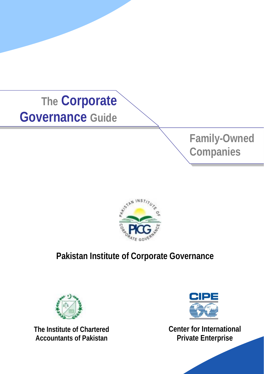





# **Pakistan Institute of Corporate Governance**



**The Institute of Chartered Accountants of Pakistan**



**Center for International Private Enterprise**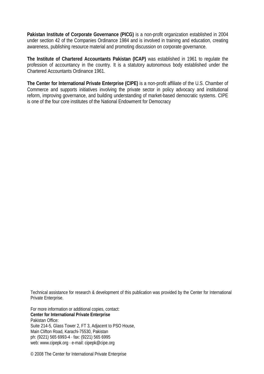**Pakistan Institute of Corporate Governance (PICG)** is a non-profit organization established in 2004 under section 42 of the Companies Ordinance 1984 and is involved in training and education, creating awareness, publishing resource material and promoting discussion on corporate governance.

**The Institute of Chartered Accountants Pakistan (ICAP)** was established in 1961 to regulate the profession of accountancy in the country. It is a statutory autonomous body established under the Chartered Accountants Ordinance 1961.

**The Center for International Private Enterprise (CIPE)** is a non-profit affiliate of the U.S. Chamber of Commerce and supports initiatives involving the private sector in policy advocacy and institutional reform, improving governance, and building understanding of market-based democratic systems. CIPE is one of the four core institutes of the National Endowment for Democracy

Technical assistance for research & development of this publication was provided by the Center for International Private Enterprise.

For more information or additional copies, contact: **Center for International Private Enterprise**  Pakistan Office: Suite 214-5, Glass Tower 2, FT 3, Adjacent to PSO House, Main Clifton Road, Karachi-75530, Pakistan ph: (9221) 565 6993-4 · fax: (9221) 565 6995 web: www.cipepk.org · e-mail: cipepk@cipe.org

© 2008 The Center for International Private Enterprise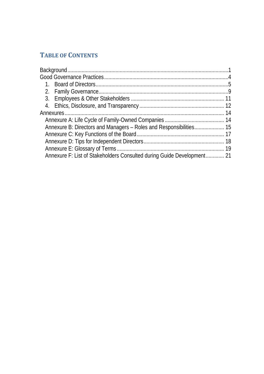## **TABLE OF CONTENTS**

| Annexure F: List of Stakeholders Consulted during Guide Development 21 |  |
|------------------------------------------------------------------------|--|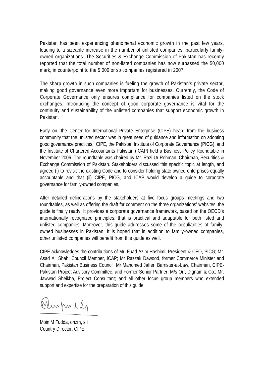Pakistan has been experiencing phenomenal economic growth in the past few years, leading to a sizeable increase in the number of unlisted companies, particularly familyowned organizations. The Securities & Exchange Commission of Pakistan has recently reported that the total number of non-listed companies has now surpassed the 50,000 mark, in counterpoint to the 5,000 or so companies registered in 2007.

The sharp growth in such companies is fueling the growth of Pakistan's private sector, making good governance even more important for businesses. Currently, the Code of Corporate Governance only ensures compliance for companies listed on the stock exchanges. Introducing the concept of good corporate governance is vital for the continuity and sustainability of the unlisted companies that support economic growth in Pakistan.

Early on, the Center for International Private Enterprise (CIPE) heard from the business community that the unlisted sector was in great need of guidance and information on adopting good governance practices. CIPE, the Pakistan Institute of Corporate Governance (PICG), and the Institute of Chartered Accountants Pakistan (ICAP) held a Business Policy Roundtable in November 2006. The roundtable was chaired by Mr. Razi Ur Rehman, Chairman, Securities & Exchange Commission of Pakistan. Stakeholders discussed this specific topic at length, and agreed (i) to revisit the existing Code and to consider holding state owned enterprises equally accountable and that (ii) CIPE, PICG, and ICAP would develop a guide to corporate governance for family-owned companies.

After detailed deliberations by the stakeholders at five focus groups meetings and two roundtables, as well as offering the draft for comment on the three organizations' websites, the guide is finally ready. It provides a corporate governance framework, based on the OECD's internationally recognized principles, that is practical and adaptable for both listed and unlisted companies. Moreover, this guide addresses some of the peculiarities of familyowned businesses in Pakistan. It is hoped that in addition to family-owned companies, other unlisted companies will benefit from this guide as well.

CIPE acknowledges the contributions of Mr. Fuad Azim Hashimi, President & CEO, PICG; Mr. Asad Ali Shah, Council Member, ICAP; Mr Razzak Dawood, former Commerce Minister and Chairman, Pakistan Business Council; Mr Mahomed Jaffer, Barrister-at-Law, Chairman, CIPE-Pakistan Project Advisory Committee, and Former Senior Partner, M/s Orr, Dignam & Co.; Mr. Jawwad Sheikha, Project Consultant; and all other focus group members who extended support and expertise for the preparation of this guide.

Winfindla

Moin M Fudda, onzm, s.i Country Director, CIPE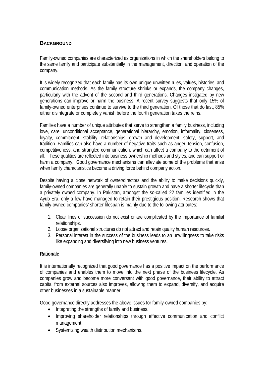#### **BACKGROUND**

Family-owned companies are characterized as organizations in which the shareholders belong to the same family and participate substantially in the management, direction, and operation of the company.

It is widely recognized that each family has its own unique unwritten rules, values, histories, and communication methods. As the family structure shrinks or expands, the company changes, particularly with the advent of the second and third generations. Changes instigated by new generations can improve or harm the business. A recent survey suggests that only 15% of family-owned enterprises continue to survive to the third generation. Of those that do last, 85% either disintegrate or completely vanish before the fourth generation takes the reins.

Families have a number of unique attributes that serve to strengthen a family business, including love, care, unconditional acceptance, generational hierarchy, emotion, informality, closeness, loyalty, commitment, stability, relationships, growth and development, safety, support, and tradition. Families can also have a number of negative traits such as anger, tension, confusion, competitiveness, and strangled communication, which can affect a company to the detriment of all. These qualities are reflected into business ownership methods and styles, and can support or harm a company. Good governance mechanisms can alleviate some of the problems that arise when family characteristics become a driving force behind company action.

Despite having a close network of owner/directors and the ability to make decisions quickly, family-owned companies are generally unable to sustain growth and have a shorter lifecycle than a privately owned company. In Pakistan, amongst the so-called 22 families identified in the Ayub Era, only a few have managed to retain their prestigious position. Research shows that family-owned companies' shorter lifespan is mainly due to the following attributes:

- 1. Clear lines of succession do not exist or are complicated by the importance of familial relationships.
- 2. Loose organizational structures do not attract and retain quality human resources.
- 3. Personal interest in the success of the business leads to an unwillingness to take risks like expanding and diversifying into new business ventures.

#### **Rationale**

It is internationally recognized that good governance has a positive impact on the performance of companies and enables them to move into the next phase of the business lifecycle. As companies grow and become more conversant with good governance, their ability to attract capital from external sources also improves, allowing them to expand, diversify, and acquire other businesses in a sustainable manner.

Good governance directly addresses the above issues for family-owned companies by:

- Integrating the strengths of family and business.
- Improving shareholder relationships through effective communication and conflict management.
- Systemizing wealth distribution mechanisms.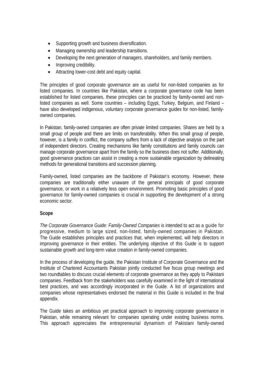- Supporting growth and business diversification.
- Managing ownership and leadership transitions.
- Developing the next generation of managers, shareholders, and family members.
- Improving credibility.
- Attracting lower-cost debt and equity capital.

The principles of good corporate governance are as useful for non-listed companies as for listed companies. In countries like Pakistan, where a corporate governance code has been established for listed companies, these principles can be practiced by family-owned and nonlisted companies as well. Some countries – including Egypt, Turkey, Belgium, and Finland – have also developed indigenous, voluntary corporate governance guides for non-listed, familyowned companies.

In Pakistan, family-owned companies are often private limited companies. Shares are held by a small group of people and there are limits on transferability. When this small group of people, however, is a family in conflict, the company suffers from a lack of objective analysis on the part of independent directors. Creating mechanisms like family constitutions and family councils can manage corporate governance apart from the family so the business does not suffer. Additionally, good governance practices can assist in creating a more sustainable organization by delineating methods for generational transitions and succession planning.

Family-owned, listed companies are the backbone of Pakistan's economy. However, these companies are traditionally either unaware of the general principals of good corporate governance, or work in a relatively less open environment. Promoting basic principles of good governance for family-owned companies is crucial in supporting the development of a strong economic sector.

#### **Scope**

*The Corporate Governance Guide: Family-Owned Companies* is intended to act as a guide for progressive, medium to large sized, non-listed, family-owned companies in Pakistan. The Guide establishes principles and practices that, when implemented, will help directors in improving governance in their entities. The underlying objective of this Guide is to support sustainable growth and long-term value creation in family-owned companies.

In the process of developing the guide, the Pakistan Institute of Corporate Governance and the Institute of Chartered Accountants Pakistan jointly conducted five focus group meetings and two roundtables to discuss crucial elements of corporate governance as they apply to Pakistani companies. Feedback from the stakeholders was carefully examined in the light of international best practices, and was accordingly incorporated in the Guide. A list of organizations and companies whose representatives endorsed the material in this Guide is included in the final appendix.

The Guide takes an ambitious yet practical approach to improving corporate governance in Pakistan, while remaining relevant for companies operating under existing business norms. This approach appreciates the entrepreneurial dynamism of Pakistani family-owned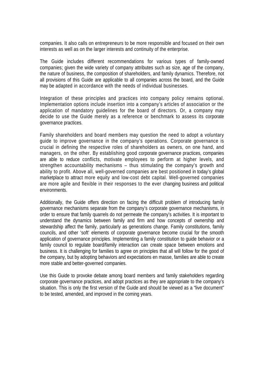companies. It also calls on entrepreneurs to be more responsible and focused on their own interests as well as on the larger interests and continuity of the enterprise.

The Guide includes different recommendations for various types of family-owned companies; given the wide variety of company attributes such as size, age of the company, the nature of business, the composition of shareholders, and family dynamics. Therefore, not all provisions of this Guide are applicable to all companies across the board, and the Guide may be adapted in accordance with the needs of individual businesses.

Integration of these principles and practices into company policy remains optional. Implementation options include insertion into a company's articles of association or the application of mandatory guidelines for the board of directors. Or, a company may decide to use the Guide merely as a reference or benchmark to assess its corporate governance practices.

Family shareholders and board members may question the need to adopt a voluntary guide to improve governance in the company's operations. Corporate governance is crucial in defining the respective roles of shareholders as owners, on one hand, and managers, on the other. By establishing good corporate governance practices, companies are able to reduce conflicts, motivate employees to perform at higher levels, and strengthen accountability mechanisms – thus stimulating the company's growth and ability to profit. Above all, well-governed companies are best positioned in today's global marketplace to attract more equity and low-cost debt capital. Well-governed companies are more agile and flexible in their responses to the ever changing business and political environments.

Additionally, the Guide offers direction on facing the difficult problem of introducing family governance mechanisms separate from the company's corporate governance mechanisms, in order to ensure that family quarrels do not permeate the company's activities. It is important to understand the dynamics between family and firm and how concepts of ownership and stewardship affect the family, particularly as generations change. Family constitutions, family councils, and other 'soft' elements of corporate governance become crucial for the smooth application of governance principles. Implementing a family constitution to guide behavior or a family council to regulate board/family interaction can create space between emotions and business. It is challenging for families to agree on principles that all will follow for the good of the company, but by adopting behaviors and expectations en masse, families are able to create more stable and better-governed companies.

Use this Guide to provoke debate among board members and family stakeholders regarding corporate governance practices, and adopt practices as they are appropriate to the company's situation. This is only the first version of the Guide and should be viewed as a "live document" to be tested, amended, and improved in the coming years.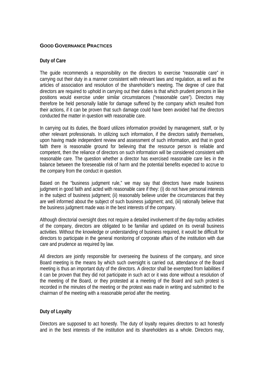#### **GOOD GOVERNANCE PRACTICES**

#### **Duty of Care**

The guide recommends a responsibility on the directors to exercise "reasonable care" in carrying out their duty in a manner consistent with relevant laws and regulation, as well as the articles of association and resolution of the shareholder's meeting. The degree of care that directors are required to uphold in carrying out their duties is that which prudent persons in like positions would exercise under similar circumstances ("reasonable care"). Directors may therefore be held personally liable for damage suffered by the company which resulted from their actions, if it can be proven that such damage could have been avoided had the directors conducted the matter in question with reasonable care.

In carrying out its duties, the Board utilizes information provided by management, staff, or by other relevant professionals. In utilizing such information, if the directors satisfy themselves, upon having made independent review and assessment of such information, and that in good faith there is reasonable ground for believing that the resource person is reliable and competent, then the reliance of directors on such information will be considered consistent with reasonable care. The question whether a director has exercised reasonable care lies in the balance between the foreseeable risk of harm and the potential benefits expected to accrue to the company from the conduct in question.

Based on the "business judgment rule," we may say that directors have made business judgment in good faith and acted with reasonable care if they: (i) do not have personal interests in the subject of business judgment; (ii) reasonably believe under the circumstances that they are well informed about the subject of such business judgment; and, (iii) rationally believe that the business judgment made was in the best interests of the company.

Although directorial oversight does not require a detailed involvement of the day-today activities of the company, directors are obligated to be familiar and updated on its overall business activities. Without the knowledge or understanding of business required, it would be difficult for directors to participate in the general monitoring of corporate affairs of the institution with due care and prudence as required by law.

All directors are jointly responsible for overseeing the business of the company, and since Board meeting is the means by which such oversight is carried out, attendance of the Board meeting is thus an important duty of the directors. A director shall be exempted from liabilities if it can be proven that they did not participate in such act or it was done without a resolution of the meeting of the Board, or they protested at a meeting of the Board and such protest is recorded in the minutes of the meeting or the protest was made in writing and submitted to the chairman of the meeting with a reasonable period after the meeting.

#### **Duty of Loyalty**

Directors are supposed to act honestly. The duty of loyalty requires directors to act honestly and in the best interests of the institution and its shareholders as a whole. Directors may,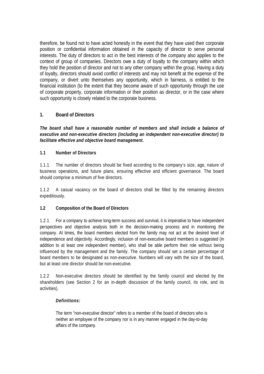therefore, be found not to have acted honestly in the event that they have used their corporate position or confidential information obtained in the capacity of director to serve personal interests. The duty of directors to act in the best interests of the company also applies to the context of group of companies. Directors owe a duty of loyalty to the company within which they hold the position of director and not to any other company within the group. Having a duty of loyalty, directors should avoid conflict of interests and may not benefit at the expense of the company, or divert unto themselves any opportunity, which in fairness, is entitled to the financial institution (to the extent that they become aware of such opportunity through the use of corporate property, corporate information or their position as director, or in the case where such opportunity is closely related to the corporate business.

#### **1. Board of Directors**

*The board shall have a reasonable number of members and shall include a balance of executive and non-executive directors (including an independent non-executive director) to facilitate effective and objective board management.* 

#### **1.1 Number of Directors**

1.1.1 The number of directors should be fixed according to the company's size, age, nature of business operations, and future plans, ensuring effective and efficient governance. The board should comprise a minimum of five directors.

1.1.2 A casual vacancy on the board of directors shall be filled by the remaining directors expeditiously.

#### **1.2 Composition of the Board of Directors**

1.2.1 For a company to achieve long-term success and survival, it is imperative to have independent perspectives and objective analysis both in the decision-making process and in monitoring the company. At times, the board members elected from the family may not act at the desired level of independence and objectivity. Accordingly, inclusion of non-executive board members is suggested (in addition to at least one independent member), who shall be able perform their role without being influenced by the management and the family. The company should set a certain percentage of board members to be designated as non-executive. Numbers will vary with the size of the board, but at least one director should be non-executive.

1.2.2 Non-executive directors should be identified by the family council and elected by the shareholders (see Section 2 for an in-depth discussion of the family council, its role, and its activities).

#### *Definitions:*

The term "non-executive director" refers to a member of the board of directors who is neither an employee of the company nor is in any manner engaged in the day-to-day affairs of the company.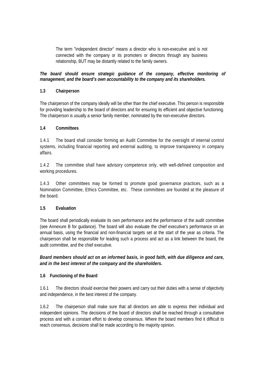The term "independent director" means a director who is non-executive and is not connected with the company or its promoters or directors through any business relationship, BUT may be distantly related to the family owners.

#### *The board should ensure strategic guidance of the company, effective monitoring of management, and the board's own accountability to the company and its shareholders.*

#### **1.3 Chairperson**

The chairperson of the company ideally will be other than the chief executive. This person is responsible for providing leadership to the board of directors and for ensuring its efficient and objective functioning. The chairperson is usually a senior family member, nominated by the non-executive directors.

#### **1.4 Committees**

1.4.1 The board shall consider forming an Audit Committee for the oversight of internal control systems, including financial reporting and external auditing, to improve transparency in company affairs.

1.4.2 The committee shall have advisory competence only, with well-defined composition and working procedures.

1.4.3 Other committees may be formed to promote good governance practices, such as a Nomination Committee, Ethics Committee, etc. These committees are founded at the pleasure of the board.

#### **1.5 Evaluation**

The board shall periodically evaluate its own performance and the performance of the audit committee (see Annexure B for guidance). The board will also evaluate the chief executive's performance on an annual basis, using the financial and non-financial targets set at the start of the year as criteria. The chairperson shall be responsible for leading such a process and act as a link between the board, the audit committee, and the chief executive.

*Board members should act on an informed basis, in good faith, with due diligence and care, and in the best interest of the company and the shareholders.* 

#### **1.6 Functioning of the Board**

1.6.1 The directors should exercise their powers and carry out their duties with a sense of objectivity and independence, in the best interest of the company.

1.6.2 The chairperson shall make sure that all directors are able to express their individual and independent opinions. The decisions of the board of directors shall be reached through a consultative process and with a constant effort to develop consensus. Where the board members find it difficult to reach consensus, decisions shall be made according to the majority opinion.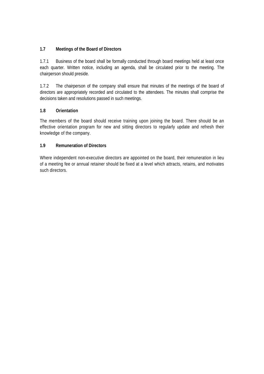#### **1.7 Meetings of the Board of Directors**

1.7.1 Business of the board shall be formally conducted through board meetings held at least once each quarter. Written notice, including an agenda, shall be circulated prior to the meeting. The chairperson should preside.

1.7.2 The chairperson of the company shall ensure that minutes of the meetings of the board of directors are appropriately recorded and circulated to the attendees. The minutes shall comprise the decisions taken and resolutions passed in such meetings.

#### **1.8 Orientation**

The members of the board should receive training upon joining the board. There should be an effective orientation program for new and sitting directors to regularly update and refresh their knowledge of the company.

#### **1.9 Remuneration of Directors**

Where independent non-executive directors are appointed on the board, their remuneration in lieu of a meeting fee or annual retainer should be fixed at a level which attracts, retains, and motivates such directors.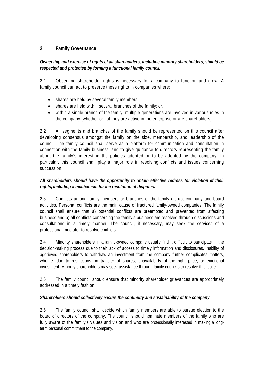#### **2. Family Governance**

#### *Ownership and exercise of rights of all shareholders, including minority shareholders, should be respected and protected by forming a functional family council.*

2.1 Observing shareholder rights is necessary for a company to function and grow. A family council can act to preserve these rights in companies where:

- shares are held by several family members;
- shares are held within several branches of the family; or,
- within a single branch of the family, multiple generations are involved in various roles in the company (whether or not they are active in the enterprise or are shareholders).

2.2 All segments and branches of the family should be represented on this council after developing consensus amongst the family on the size, membership, and leadership of the council. The family council shall serve as a platform for communication and consultation in connection with the family business, and to give guidance to directors representing the family about the family's interest in the policies adopted or to be adopted by the company. In particular, this council shall play a major role in resolving conflicts and issues concerning succession.

#### *All shareholders should have the opportunity to obtain effective redress for violation of their rights, including a mechanism for the resolution of disputes.*

2.3 Conflicts among family members or branches of the family disrupt company and board activities. Personal conflicts are the main cause of fractured family-owned companies. The family council shall ensure that a) potential conflicts are preempted and prevented from affecting business and b) all conflicts concerning the family's business are resolved through discussions and consultations in a timely manner. The council, if necessary, may seek the services of a professional mediator to resolve conflicts.

2.4 Minority shareholders in a family-owned company usually find it difficult to participate in the decision-making process due to their lack of access to timely information and disclosures. Inability of aggrieved shareholders to withdraw an investment from the company further complicates matters, whether due to restrictions on transfer of shares, unavailability of the right price, or emotional investment. Minority shareholders may seek assistance through family councils to resolve this issue.

2.5 The family council should ensure that minority shareholder grievances are appropriately addressed in a timely fashion.

#### *Shareholders should collectively ensure the continuity and sustainability of the company.*

2.6 The family council shall decide which family members are able to pursue election to the board of directors of the company. The council should nominate members of the family who are fully aware of the family's values and vision and who are professionally interested in making a longterm personal commitment to the company.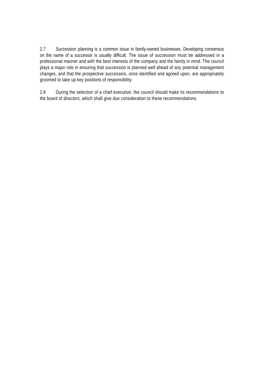2.7 Succession planning is a common issue in family-owned businesses. Developing consensus on the name of a successor is usually difficult. The issue of succession must be addressed in a professional manner and with the best interests of the company and the family in mind. The council plays a major role in ensuring that succession is planned well ahead of any potential management changes, and that the prospective successors, once identified and agreed upon, are appropriately groomed to take up key positions of responsibility.

2.8 During the selection of a chief executive, the council should make its recommendations to the board of directors, which shall give due consideration to these recommendations.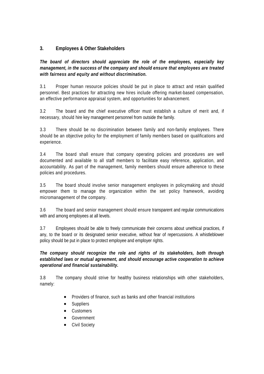#### **3. Employees & Other Stakeholders**

*The board of directors should appreciate the role of the employees, especially key management, in the success of the company and should ensure that employees are treated with fairness and equity and without discrimination.* 

3.1 Proper human resource policies should be put in place to attract and retain qualified personnel. Best practices for attracting new hires include offering market-based compensation, an effective performance appraisal system, and opportunities for advancement.

3.2 The board and the chief executive officer must establish a culture of merit and, if necessary, should hire key management personnel from outside the family.

3.3 There should be no discrimination between family and non-family employees. There should be an objective policy for the employment of family members based on qualifications and experience.

3.4 The board shall ensure that company operating policies and procedures are well documented and available to all staff members to facilitate easy reference, application, and accountability. As part of the management, family members should ensure adherence to these policies and procedures.

3.5 The board should involve senior management employees in policymaking and should empower them to manage the organization within the set policy framework, avoiding micromanagement of the company.

3.6 The board and senior management should ensure transparent and regular communications with and among employees at all levels.

3.7 Employees should be able to freely communicate their concerns about unethical practices, if any, to the board or its designated senior executive, without fear of repercussions. A whistleblower policy should be put in place to protect employee and employer rights.

*The company should recognize the role and rights of its stakeholders, both through established laws or mutual agreement, and should encourage active cooperation to achieve operational and financial sustainability.* 

3.8 The company should strive for healthy business relationships with other stakeholders, namely:

- Providers of finance, such as banks and other financial institutions
- **Suppliers**
- Customers
- **Government**
- Civil Society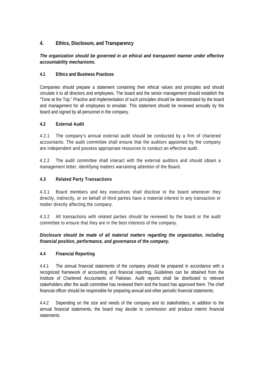#### **4. Ethics, Disclosure, and Transparency**

#### *The organization should be governed in an ethical and transparent manner under effective accountability mechanisms.*

#### **4.1 Ethics and Business Practices**

Companies should prepare a statement containing their ethical values and principles and should circulate it to all directors and employees. The board and the senior management should establish the "Tone at the Top." Practice and implementation of such principles should be demonstrated by the board and management for all employees to emulate. This statement should be reviewed annually by the board and signed by all personnel in the company.

#### **4.2 External Audit**

4.2.1 The company's annual external audit should be conducted by a firm of chartered accountants. The audit committee shall ensure that the auditors appointed by the company are independent and possess appropriate resources to conduct an effective audit.

4.2.2 The audit committee shall interact with the external auditors and should obtain a management letter, identifying matters warranting attention of the Board.

#### **4.3 Related Party Transactions**

4.3.1 Board members and key executives shall disclose to the board whenever they directly, indirectly, or on behalf of third parties have a material interest in any transaction or matter directly affecting the company.

4.3.2 All transactions with related parties should be reviewed by the board or the audit committee to ensure that they are in the best interests of the company.

*Disclosure should be made of all material matters regarding the organization, including financial position, performance, and governance of the company.* 

#### **4.4 Financial Reporting**

4.4.1 The annual financial statements of the company should be prepared in accordance with a recognized framework of accounting and financial reporting. Guidelines can be obtained from the Institute of Chartered Accountants of Pakistan. Audit reports shall be distributed to relevant stakeholders after the audit committee has reviewed them and the board has approved them. The chief financial officer should be responsible for preparing annual and other periodic financial statements.

4.4.2 Depending on the size and needs of the company and its stakeholders, in addition to the annual financial statements, the board may decide to commission and produce interim financial statements.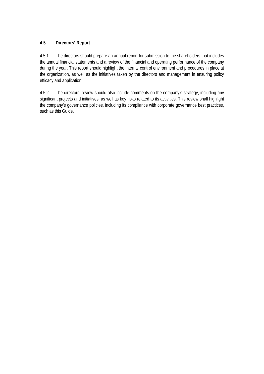#### **4.5 Directors' Report**

4.5.1 The directors should prepare an annual report for submission to the shareholders that includes the annual financial statements and a review of the financial and operating performance of the company during the year. This report should highlight the internal control environment and procedures in place at the organization, as well as the initiatives taken by the directors and management in ensuring policy efficacy and application.

4.5.2 The directors' review should also include comments on the company's strategy, including any significant projects and initiatives, as well as key risks related to its activities. This review shall highlight the company's governance policies, including its compliance with corporate governance best practices, such as this Guide.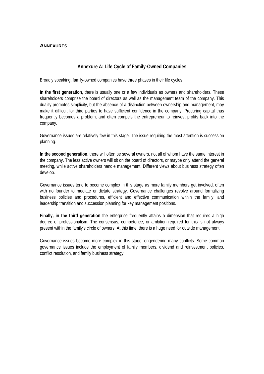#### **ANNEXURES**

#### **Annexure A: Life Cycle of Family-Owned Companies**

Broadly speaking, family-owned companies have three phases in their life cycles.

**In the first generation**, there is usually one or a few individuals as owners and shareholders. These shareholders comprise the board of directors as well as the management team of the company. This duality promotes simplicity, but the absence of a distinction between ownership and management, may make it difficult for third parties to have sufficient confidence in the company. Procuring capital thus frequently becomes a problem, and often compels the entrepreneur to reinvest profits back into the company.

Governance issues are relatively few in this stage. The issue requiring the most attention is succession planning.

**In the second generation**, there will often be several owners, not all of whom have the same interest in the company. The less active owners will sit on the board of directors, or maybe only attend the general meeting, while active shareholders handle management. Different views about business strategy often develop.

Governance issues tend to become complex in this stage as more family members get involved, often with no founder to mediate or dictate strategy. Governance challenges revolve around formalizing business policies and procedures, efficient and effective communication within the family, and leadership transition and succession planning for key management positions.

**Finally, in the third generation** the enterprise frequently attains a dimension that requires a high degree of professionalism. The consensus, competence, or ambition required for this is not always present within the family's circle of owners. At this time, there is a huge need for outside management.

Governance issues become more complex in this stage, engendering many conflicts. Some common governance issues include the employment of family members, dividend and reinvestment policies, conflict resolution, and family business strategy.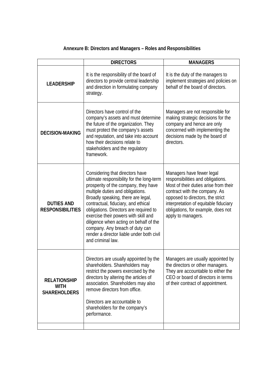## **Annexure B: Directors and Managers – Roles and Responsibilities**

|                                                           | <b>DIRECTORS</b>                                                                                                                                                                                                                                                                                                                                                                                                                                                       | <b>MANAGERS</b>                                                                                                                                                                                                                                                                   |
|-----------------------------------------------------------|------------------------------------------------------------------------------------------------------------------------------------------------------------------------------------------------------------------------------------------------------------------------------------------------------------------------------------------------------------------------------------------------------------------------------------------------------------------------|-----------------------------------------------------------------------------------------------------------------------------------------------------------------------------------------------------------------------------------------------------------------------------------|
| <b>LEADERSHIP</b>                                         | It is the responsibility of the board of<br>directors to provide central leadership<br>and direction in formulating company<br>strategy.                                                                                                                                                                                                                                                                                                                               | It is the duty of the managers to<br>implement strategies and policies on<br>behalf of the board of directors.                                                                                                                                                                    |
| <b>DECISION-MAKING</b>                                    | Directors have control of the<br>company's assets and must determine<br>the future of the organization. They<br>must protect the company's assets<br>and reputation, and take into account<br>how their decisions relate to<br>stakeholders and the regulatory<br>framework.                                                                                                                                                                                           | Managers are not responsible for<br>making strategic decisions for the<br>company and hence are only<br>concerned with implementing the<br>decisions made by the board of<br>directors.                                                                                           |
| <b>DUTIES AND</b><br><b>RESPONSIBILITIES</b>              | Considering that directors have<br>ultimate responsibility for the long-term<br>prosperity of the company, they have<br>multiple duties and obligations.<br>Broadly speaking, there are legal,<br>contractual, fiduciary, and ethical<br>obligations. Directors are required to<br>exercise their powers with skill and<br>diligence when acting on behalf of the<br>company. Any breach of duty can<br>render a director liable under both civil<br>and criminal law. | Managers have fewer legal<br>responsibilities and obligations.<br>Most of their duties arise from their<br>contract with the company. As<br>opposed to directors, the strict<br>interpretation of equitable fiduciary<br>obligations, for example, does not<br>apply to managers. |
| <b>RELATIONSHIP</b><br><b>WITH</b><br><b>SHAREHOLDERS</b> | Directors are usually appointed by the<br>shareholders. Shareholders may<br>restrict the powers exercised by the<br>directors by altering the articles of<br>association. Shareholders may also<br>remove directors from office.<br>Directors are accountable to<br>shareholders for the company's<br>performance.                                                                                                                                                     | Managers are usually appointed by<br>the directors or other managers.<br>They are accountable to either the<br>CEO or board of directors in terms<br>of their contract of appointment.                                                                                            |
|                                                           |                                                                                                                                                                                                                                                                                                                                                                                                                                                                        |                                                                                                                                                                                                                                                                                   |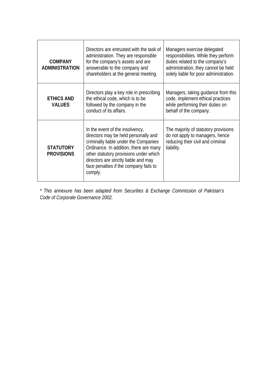| <b>COMPANY</b><br><b>ADMINISTRATION</b> | Directors are entrusted with the task of<br>administration. They are responsible<br>for the company's assets and are<br>answerable to the company and<br>shareholders at the general meeting.                                                                                                      | Managers exercise delegated<br>responsibilities. While they perform<br>duties related to the company's<br>administration, they cannot be held<br>solely liable for poor administration. |
|-----------------------------------------|----------------------------------------------------------------------------------------------------------------------------------------------------------------------------------------------------------------------------------------------------------------------------------------------------|-----------------------------------------------------------------------------------------------------------------------------------------------------------------------------------------|
| <b>ETHICS AND</b><br><b>VALUES</b>      | Directors play a key role in prescribing<br>the ethical code, which is to be<br>followed by the company in the<br>conduct of its affairs.                                                                                                                                                          | Managers, taking guidance from this<br>code, implement ethical practices<br>while performing their duties on<br>behalf of the company.                                                  |
| <b>STATUTORY</b><br><b>PROVISIONS</b>   | In the event of the insolvency,<br>directors may be held personally and<br>criminally liable under the Companies<br>Ordinance. In addition, there are many<br>other statutory provisions under which<br>directors are strictly liable and may<br>face penalties if the company fails to<br>comply. | The majority of statutory provisions<br>do not apply to managers, hence<br>reducing their civil and criminal<br>liability.                                                              |

*\* This annexure has been adapted from Securities & Exchange Commission of Pakistan's Code of Corporate Governance 2002.*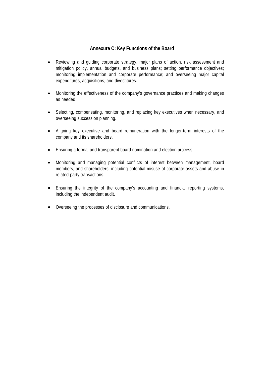#### **Annexure C: Key Functions of the Board**

- Reviewing and guiding corporate strategy, major plans of action, risk assessment and mitigation policy, annual budgets, and business plans; setting performance objectives; monitoring implementation and corporate performance; and overseeing major capital expenditures, acquisitions, and divestitures.
- Monitoring the effectiveness of the company's governance practices and making changes as needed.
- Selecting, compensating, monitoring, and replacing key executives when necessary, and overseeing succession planning.
- Aligning key executive and board remuneration with the longer-term interests of the company and its shareholders.
- Ensuring a formal and transparent board nomination and election process.
- Monitoring and managing potential conflicts of interest between management, board members, and shareholders, including potential misuse of corporate assets and abuse in related-party transactions.
- Ensuring the integrity of the company's accounting and financial reporting systems, including the independent audit.
- Overseeing the processes of disclosure and communications.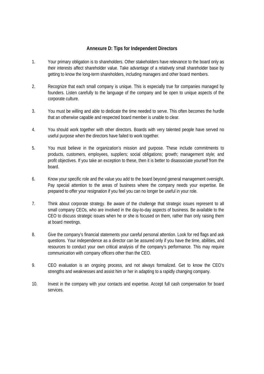#### **Annexure D: Tips for Independent Directors**

- 1. Your primary obligation is to shareholders. Other stakeholders have relevance to the board only as their interests affect shareholder value. Take advantage of a relatively small shareholder base by getting to know the long-term shareholders, including managers and other board members.
- 2. Recognize that each small company is unique. This is especially true for companies managed by founders. Listen carefully to the language of the company and be open to unique aspects of the corporate culture.
- 3. You must be willing and able to dedicate the time needed to serve. This often becomes the hurdle that an otherwise capable and respected board member is unable to clear.
- 4. You should work together with other directors. Boards with very talented people have served no useful purpose when the directors have failed to work together.
- 5. You must believe in the organization's mission and purpose. These include commitments to products, customers, employees, suppliers; social obligations; growth; management style; and profit objectives. If you take an exception to these, then it is better to disassociate yourself from the board.
- 6. Know your specific role and the value you add to the board beyond general management oversight. Pay special attention to the areas of business where the company needs your expertise. Be prepared to offer your resignation if you feel you can no longer be useful in your role.
- 7. Think about corporate strategy. Be aware of the challenge that strategic issues represent to all small company CEOs, who are involved in the day-to-day aspects of business. Be available to the CEO to discuss strategic issues when he or she is focused on them, rather than only raising them at board meetings.
- 8. Give the company's financial statements your careful personal attention. Look for red flags and ask questions. Your independence as a director can be assured only if you have the time, abilities, and resources to conduct your own critical analysis of the company's performance. This may require communication with company officers other than the CEO.
- 9. CEO evaluation is an ongoing process, and not always formalized. Get to know the CEO's strengths and weaknesses and assist him or her in adapting to a rapidly changing company.
- 10. Invest in the company with your contacts and expertise. Accept full cash compensation for board services.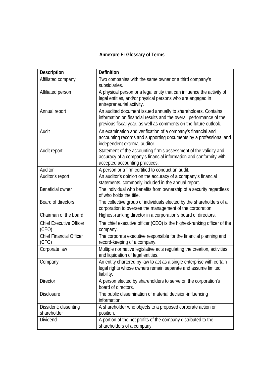## **Annexure E: Glossary of Terms**

| <b>Description</b>                      | <b>Definition</b>                                                                                                                                                                                        |
|-----------------------------------------|----------------------------------------------------------------------------------------------------------------------------------------------------------------------------------------------------------|
| Affiliated company                      | Two companies with the same owner or a third company's<br>subsidiaries.                                                                                                                                  |
| Affiliated person                       | A physical person or a legal entity that can influence the activity of<br>legal entities, and/or physical persons who are engaged in<br>entrepreneurial activity.                                        |
| Annual report                           | An audited document issued annually to shareholders. Contains<br>information on financial results and the overall performance of the<br>previous fiscal year, as well as comments on the future outlook. |
| Audit                                   | An examination and verification of a company's financial and<br>accounting records and supporting documents by a professional and<br>independent external auditor.                                       |
| Audit report                            | Statement of the accounting firm's assessment of the validity and<br>accuracy of a company's financial information and conformity with<br>accepted accounting practices.                                 |
| Auditor                                 | A person or a firm certified to conduct an audit.                                                                                                                                                        |
| Auditor's report                        | An auditor's opinion on the accuracy of a company's financial<br>statements, commonly included in the annual report.                                                                                     |
| Beneficial owner                        | The individual who benefits from ownership of a security regardless<br>of who holds the title.                                                                                                           |
| Board of directors                      | The collective group of individuals elected by the shareholders of a<br>corporation to oversee the management of the corporation.                                                                        |
| Chairman of the board                   | Highest-ranking director in a corporation's board of directors.                                                                                                                                          |
| <b>Chief Executive Officer</b><br>(CEO) | The chief executive officer (CEO) is the highest-ranking officer of the<br>company.                                                                                                                      |
| <b>Chief Financial Officer</b><br>(CFO) | The corporate executive responsible for the financial planning and<br>record-keeping of a company.                                                                                                       |
| Corporate law                           | Multiple normative legislative acts regulating the creation, activities,<br>and liquidation of legal entities.                                                                                           |
| Company                                 | An entity chartered by law to act as a single enterprise with certain<br>legal rights whose owners remain separate and assume limited<br>liability.                                                      |
| <b>Director</b>                         | A person elected by shareholders to serve on the corporation's<br>board of directors.                                                                                                                    |
| <b>Disclosure</b>                       | The public dissemination of material decision-influencing<br>information.                                                                                                                                |
| Dissident; dissenting<br>shareholder    | A shareholder who objects to a proposed corporate action or<br>position.                                                                                                                                 |
| Dividend                                | A portion of the net profits of the company distributed to the<br>shareholders of a company.                                                                                                             |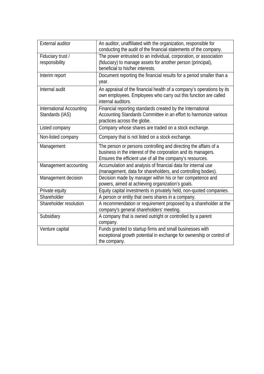| <b>External auditor</b>                            | An auditor, unaffiliated with the organization, responsible for<br>conducting the audit of the financial statements of the company.                                                            |
|----------------------------------------------------|------------------------------------------------------------------------------------------------------------------------------------------------------------------------------------------------|
| Fiduciary trust /<br>responsibility                | The power entrusted to an individual, corporation, or association<br>(fiduciary) to manage assets for another person (principal),<br>beneficial to his/her interests.                          |
| Interim report                                     | Document reporting the financial results for a period smaller than a<br>year.                                                                                                                  |
| Internal audit                                     | An appraisal of the financial health of a company's operations by its<br>own employees. Employees who carry out this function are called<br>internal auditors.                                 |
| <b>International Accounting</b><br>Standards (IAS) | Financial reporting standards created by the International<br>Accounting Standards Committee in an effort to harmonize various<br>practices across the globe.                                  |
| Listed company                                     | Company whose shares are traded on a stock exchange.                                                                                                                                           |
| Non-listed company                                 | Company that is not listed on a stock exchange.                                                                                                                                                |
| Management                                         | The person or persons controlling and directing the affairs of a<br>business in the interest of the corporation and its managers.<br>Ensures the efficient use of all the company's resources. |
| Management accounting                              | Accumulation and analysis of financial data for internal use<br>(management, data for shareholders, and controlling bodies).                                                                   |
| Management decision                                | Decision made by manager within his or her competence and<br>powers, aimed at achieving organization's goals.                                                                                  |
| Private equity                                     | Equity capital investments in privately held, non-quoted companies.                                                                                                                            |
| Shareholder                                        | A person or entity that owns shares in a company.                                                                                                                                              |
| Shareholder resolution                             | A recommendation or requirement proposed by a shareholder at the<br>company's general shareholders' meeting.                                                                                   |
| Subsidiary                                         | A company that is owned outright or controlled by a parent<br>company.                                                                                                                         |
| Venture capital                                    | Funds granted to startup firms and small businesses with<br>exceptional growth potential in exchange for ownership or control of<br>the company.                                               |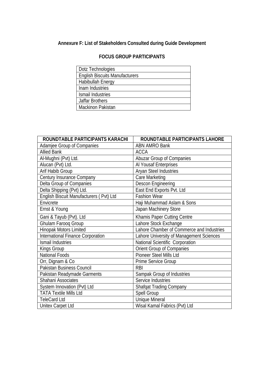## **Annexure F: List of Stakeholders Consulted during Guide Development**

#### **FOCUS GROUP PARTICIPANTS**

| Dotz Technologies                     |
|---------------------------------------|
| <b>English Biscuits Manufacturers</b> |
| Habibullah Energy                     |
| Inam Industries                       |
| Ismail Industries                     |
| <b>Jaffar Brothers</b>                |
| <b>Mackinon Pakistan</b>              |

| ROUNDTABLE PARTICIPANTS KARACHI          | ROUNDTABLE PARTICIPANTS LAHORE            |
|------------------------------------------|-------------------------------------------|
| Adamjee Group of Companies               | <b>ABN AMRO Bank</b>                      |
| <b>Allied Bank</b>                       | <b>ACCA</b>                               |
| Al-Mughni (Pvt) Ltd.                     | <b>Abuzar Group of Companies</b>          |
| Alucan (Pvt) Ltd.                        | Al Yousaf Enterprises                     |
| Arif Habib Group                         | Aryan Steel Industries                    |
| Century Insurance Company                | Care Marketing                            |
| Delta Group of Companies                 | Descon Engineering                        |
| Delta Shipping (Pvt) Ltd.                | East End Exports Pvt. Ltd                 |
| English Biscuit Manufacturers (Pvt) Ltd  | <b>Fashion Wear</b>                       |
| Envicrete                                | Haji Muhammad Aslam & Sons                |
| Ernst & Young                            | Japan Machinery Store                     |
| Gani & Tayub (Pvt). Ltd                  | Khamis Paper Cutting Centre               |
| Ghulam Farooq Group                      | Lahore Stock Exchange                     |
| Hinopak Motors Limited                   | Lahore Chamber of Commerce and Industries |
| <b>International Finance Corporation</b> | Lahore University of Management Sciences  |
| Ismail Industries                        | National Scientific Corporation           |
| Kings Group                              | Orient Group of Companies                 |
| National Foods                           | Pioneer Steel Mills Ltd                   |
| Orr, Dignam & Co                         | Prime Service Group                       |
| Pakistan Business Council                | <b>RBI</b>                                |
| Pakistan Readymade Garments              | Sampak Group of Industries                |
| Shahani Associates                       | Service Industries                        |
| System Innovation (Pvt) Ltd              | <b>Shafqat Trading Company</b>            |
| <b>TATA Textile Mills Ltd</b>            | Spell Group                               |
| <b>TeleCard Ltd</b>                      | <b>Unique Mineral</b>                     |
| Unitex Carpet Ltd                        | Wisal Kamal Fabrics (Pvt) Ltd             |